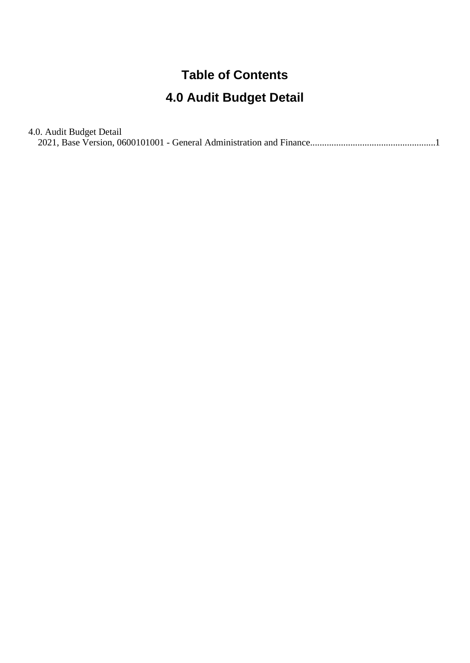## **Table of Contents**

## **4.0 Audit Budget Detail**

| 4.0. Audit Budget Detail |  |
|--------------------------|--|
|                          |  |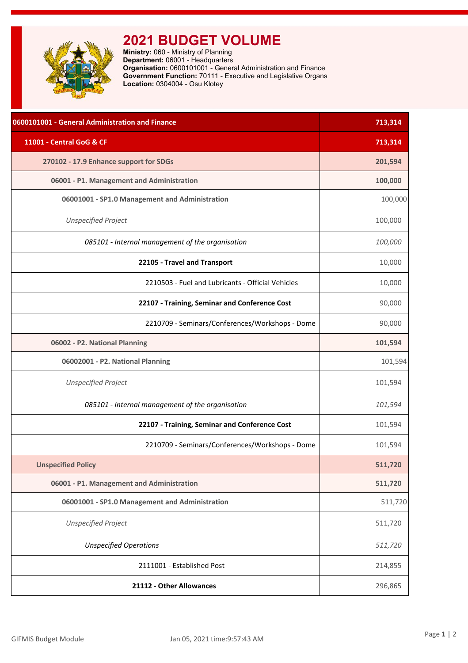<span id="page-1-0"></span>

## **2021 BUDGET VOLUME**

**Ministry:** 060 - Ministry of Planning **Department:** 06001 - Headquarters **Organisation:** 0600101001 - General Administration and Finance **Government Function:** 70111 - Executive and Legislative Organs **Location:** 0304004 - Osu Klotey

| 0600101001 - General Administration and Finance   | 713,314 |
|---------------------------------------------------|---------|
| 11001 - Central GoG & CF                          | 713,314 |
| 270102 - 17.9 Enhance support for SDGs            | 201,594 |
| 06001 - P1. Management and Administration         | 100,000 |
| 06001001 - SP1.0 Management and Administration    | 100,000 |
| <b>Unspecified Project</b>                        | 100,000 |
| 085101 - Internal management of the organisation  | 100,000 |
| 22105 - Travel and Transport                      | 10,000  |
| 2210503 - Fuel and Lubricants - Official Vehicles | 10,000  |
| 22107 - Training, Seminar and Conference Cost     | 90,000  |
| 2210709 - Seminars/Conferences/Workshops - Dome   | 90,000  |
| 06002 - P2. National Planning                     | 101,594 |
| 06002001 - P2. National Planning                  | 101,594 |
| <b>Unspecified Project</b>                        | 101,594 |
| 085101 - Internal management of the organisation  | 101,594 |
| 22107 - Training, Seminar and Conference Cost     | 101,594 |
| 2210709 - Seminars/Conferences/Workshops - Dome   | 101,594 |
| <b>Unspecified Policy</b>                         | 511,720 |
| 06001 - P1. Management and Administration         | 511,720 |
| 06001001 - SP1.0 Management and Administration    | 511,720 |
| <b>Unspecified Project</b>                        | 511,720 |
| <b>Unspecified Operations</b>                     | 511,720 |
| 2111001 - Established Post                        | 214,855 |
| 21112 - Other Allowances                          | 296,865 |